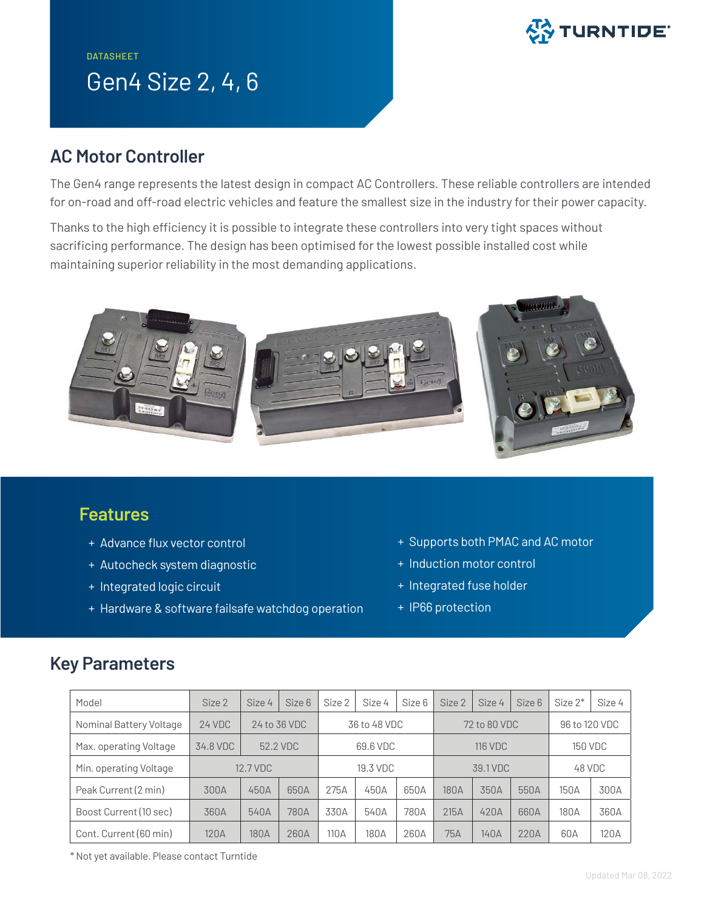# $\mathbb{S}\hat{\bm{\mathsf{S}}}$  TURNTIDE $^{\circ}$

## DATASHEET Gen4 Size 2, 4, 6

### **AC Motor Controller**

The Gen4 range represents the latest design in compact AC Controllers. These reliable controllers are intended for on-road and off-road electric vehicles and feature the smallest size in the industry for their power capacity.

Thanks to the high efficiency it is possible to integrate these controllers into very tight spaces without sacrificing performance. The design has been optimised for the lowest possible installed cost while maintaining superior reliability in the most demanding applications.



#### **Features**

- + Advance flux vector control
- + Autocheck system diagnostic
- + Integrated logic circuit
- + Hardware & software failsafe watchdog operation
- + Supports both PMAC and AC motor
- + Induction motor control
- + Integrated fuse holder
- + IP66 protection

### **Key Parameters**

| Model                   | Size 2   | Size 4       | Size 6 | Size 2       | Size 4 | Size 6 | Size 2         | Size 4 | Size 6 | Size $2^*$     | Size 4 |
|-------------------------|----------|--------------|--------|--------------|--------|--------|----------------|--------|--------|----------------|--------|
| Nominal Battery Voltage | 24 VDC   | 24 to 36 VDC |        | 36 to 48 VDC |        |        | 72 to 80 VDC   |        |        | 96 to 120 VDC  |        |
| Max. operating Voltage  | 34.8 VDC | 52.2 VDC     |        | 69.6 VDC     |        |        | <b>116 VDC</b> |        |        | <b>150 VDC</b> |        |
| Min. operating Voltage  | 12.7 VDC |              |        | 19.3 VDC     |        |        | 39.1 VDC       |        |        | 48 VDC         |        |
| Peak Current (2 min)    | 300A     | 450A         | 650A   | 275A         | 450A   | 650A   | 180A           | 350A   | 550A   | 150A           | 300A   |
| Boost Current (10 sec)  | 360A     | 540A         | 780A   | 330A         | 540A   | 780A   | 215A           | 420A   | 660A   | 180A           | 360A   |
| Cont. Current (60 min)  | 120A     | 180A         | 260A   | 110 A        | 180A   | 260A   | 75A            | 140A   | 220A   | 60A            | 120A   |

\* Not yet available. Please contact Turntide